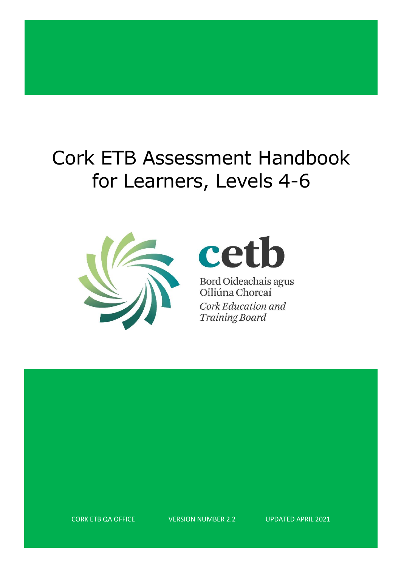## Cork ETB Assessment Handbook for Learners, Levels 4-6



# cetb

Bord Oideachais agus<br>Oiliúna Chorcaí Cork Education and **Training Board** 

CORK ETB QA OFFICE VERSION NUMBER 2.2 UPDATED APRIL 2021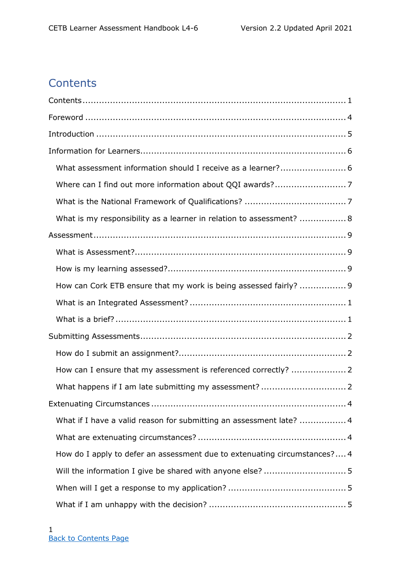## <span id="page-1-1"></span><span id="page-1-0"></span>**Contents**

| What is my responsibility as a learner in relation to assessment?  8      |
|---------------------------------------------------------------------------|
|                                                                           |
|                                                                           |
|                                                                           |
| How can Cork ETB ensure that my work is being assessed fairly?  9         |
|                                                                           |
|                                                                           |
|                                                                           |
|                                                                           |
| How can I ensure that my assessment is referenced correctly?  2           |
|                                                                           |
|                                                                           |
| What if I have a valid reason for submitting an assessment late?  4       |
|                                                                           |
| How do I apply to defer an assessment due to extenuating circumstances? 4 |
|                                                                           |
|                                                                           |
|                                                                           |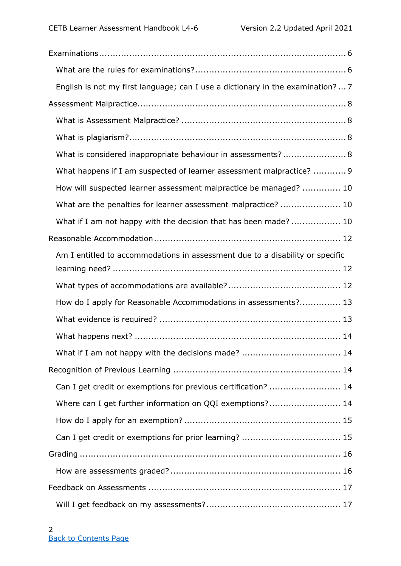| English is not my first language; can I use a dictionary in the examination? 7 |
|--------------------------------------------------------------------------------|
|                                                                                |
|                                                                                |
|                                                                                |
| What is considered inappropriate behaviour in assessments? 8                   |
| What happens if I am suspected of learner assessment malpractice?  9           |
| How will suspected learner assessment malpractice be managed?  10              |
| What are the penalties for learner assessment malpractice?  10                 |
| What if I am not happy with the decision that has been made?  10               |
|                                                                                |
| Am I entitled to accommodations in assessment due to a disability or specific  |
|                                                                                |
| How do I apply for Reasonable Accommodations in assessments? 13                |
|                                                                                |
|                                                                                |
|                                                                                |
|                                                                                |
| Can I get credit or exemptions for previous certification?  14                 |
| Where can I get further information on QQI exemptions? 14                      |
|                                                                                |
|                                                                                |
|                                                                                |
|                                                                                |
|                                                                                |
|                                                                                |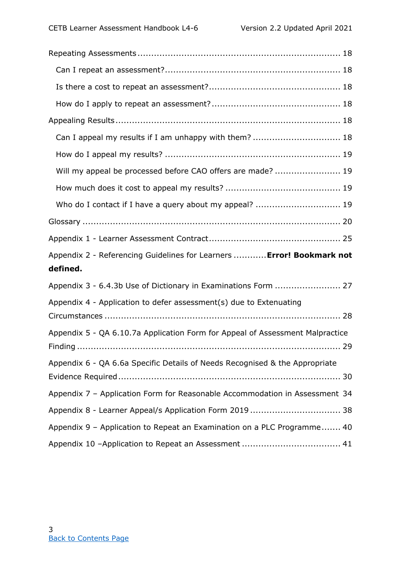| Can I appeal my results if I am unhappy with them?  18                            |  |
|-----------------------------------------------------------------------------------|--|
|                                                                                   |  |
| Will my appeal be processed before CAO offers are made?  19                       |  |
|                                                                                   |  |
| Who do I contact if I have a query about my appeal?  19                           |  |
|                                                                                   |  |
|                                                                                   |  |
|                                                                                   |  |
| Appendix 2 - Referencing Guidelines for Learners  Error! Bookmark not<br>defined. |  |
| Appendix 3 - 6.4.3b Use of Dictionary in Examinations Form  27                    |  |
| Appendix 4 - Application to defer assessment(s) due to Extenuating                |  |
| Appendix 5 - QA 6.10.7a Application Form for Appeal of Assessment Malpractice     |  |
| Appendix 6 - QA 6.6a Specific Details of Needs Recognised & the Appropriate       |  |
| Appendix 7 - Application Form for Reasonable Accommodation in Assessment 34       |  |
| Appendix 8 - Learner Appeal/s Application Form 2019 38                            |  |
| Appendix 9 - Application to Repeat an Examination on a PLC Programme 40           |  |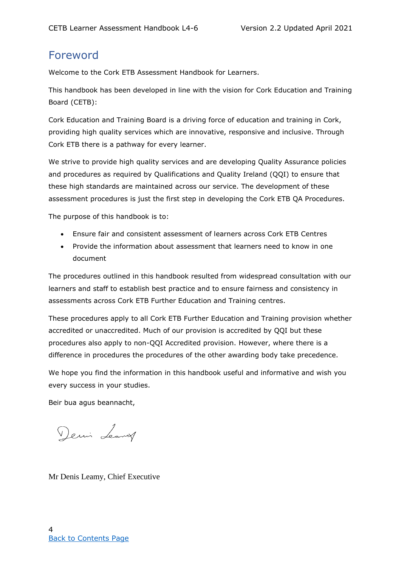## <span id="page-4-0"></span>Foreword

Welcome to the Cork ETB Assessment Handbook for Learners.

This handbook has been developed in line with the vision for Cork Education and Training Board (CETB):

Cork Education and Training Board is a driving force of education and training in Cork, providing high quality services which are innovative, responsive and inclusive. Through Cork ETB there is a pathway for every learner.

We strive to provide high quality services and are developing Quality Assurance policies and procedures as required by Qualifications and Quality Ireland (QQI) to ensure that these high standards are maintained across our service. The development of these assessment procedures is just the first step in developing the Cork ETB QA Procedures.

The purpose of this handbook is to:

- Ensure fair and consistent assessment of learners across Cork ETB Centres
- Provide the information about assessment that learners need to know in one document

The procedures outlined in this handbook resulted from widespread consultation with our learners and staff to establish best practice and to ensure fairness and consistency in assessments across Cork ETB Further Education and Training centres.

These procedures apply to all Cork ETB Further Education and Training provision whether accredited or unaccredited. Much of our provision is accredited by QQI but these procedures also apply to non-QQI Accredited provision. However, where there is a difference in procedures the procedures of the other awarding body take precedence.

We hope you find the information in this handbook useful and informative and wish you every success in your studies.

Beir bua agus beannacht,

Denis Leaving

Mr Denis Leamy, Chief Executive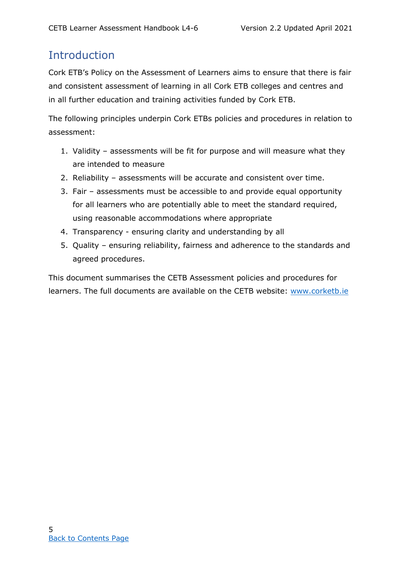## <span id="page-5-0"></span>**Introduction**

Cork ETB's Policy on the Assessment of Learners aims to ensure that there is fair and consistent assessment of learning in all Cork ETB colleges and centres and in all further education and training activities funded by Cork ETB.

The following principles underpin Cork ETBs policies and procedures in relation to assessment:

- 1. Validity assessments will be fit for purpose and will measure what they are intended to measure
- 2. Reliability assessments will be accurate and consistent over time.
- 3. Fair assessments must be accessible to and provide equal opportunity for all learners who are potentially able to meet the standard required, using reasonable accommodations where appropriate
- 4. Transparency ensuring clarity and understanding by all
- 5. Quality ensuring reliability, fairness and adherence to the standards and agreed procedures.

This document summarises the CETB Assessment policies and procedures for learners. The full documents are available on the CETB website: [www.corketb.ie](http://www.corketb.ie/)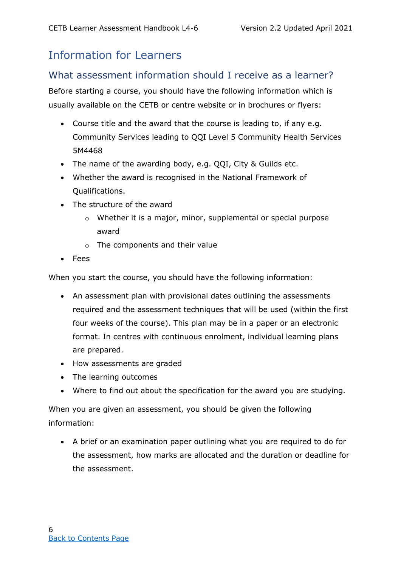## <span id="page-6-0"></span>Information for Learners

#### <span id="page-6-1"></span>What assessment information should I receive as a learner?

Before starting a course, you should have the following information which is usually available on the CETB or centre website or in brochures or flyers:

- Course title and the award that the course is leading to, if any e.g. Community Services leading to QQI Level 5 Community Health Services 5M4468
- The name of the awarding body, e.g. QQI, City & Guilds etc.
- Whether the award is recognised in the National Framework of Qualifications.
- The structure of the award
	- o Whether it is a major, minor, supplemental or special purpose award
	- o The components and their value
- Fees

When you start the course, you should have the following information:

- An assessment plan with provisional dates outlining the assessments required and the assessment techniques that will be used (within the first four weeks of the course). This plan may be in a paper or an electronic format. In centres with continuous enrolment, individual learning plans are prepared.
- How assessments are graded
- The learning outcomes
- Where to find out about the specification for the award you are studying.

When you are given an assessment, you should be given the following information:

• A brief or an examination paper outlining what you are required to do for the assessment, how marks are allocated and the duration or deadline for the assessment.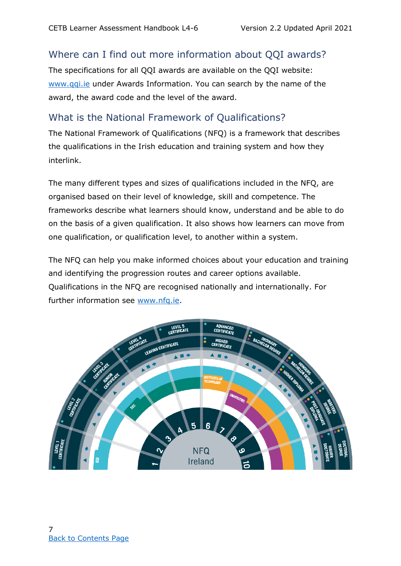#### <span id="page-7-0"></span>Where can I find out more information about QQI awards?

The specifications for all QQI awards are available on the QQI website: [www.qqi.ie](http://www.qqi.ie/) under Awards Information. You can search by the name of the award, the award code and the level of the award.

#### <span id="page-7-1"></span>What is the National Framework of Qualifications?

The National Framework of Qualifications (NFQ) is a framework that describes the qualifications in the Irish education and training system and how they interlink.

The many different types and sizes of qualifications included in the NFQ, are organised based on their level of knowledge, skill and competence. The frameworks describe what learners should know, understand and be able to do on the basis of a given qualification. It also shows how learners can move from one qualification, or qualification level, to another within a system.

The NFQ can help you make informed choices about your education and training and identifying the progression routes and career options available. Qualifications in the NFQ are recognised nationally and internationally. For further information see [www.nfq.ie.](http://www.nfq.ie/)

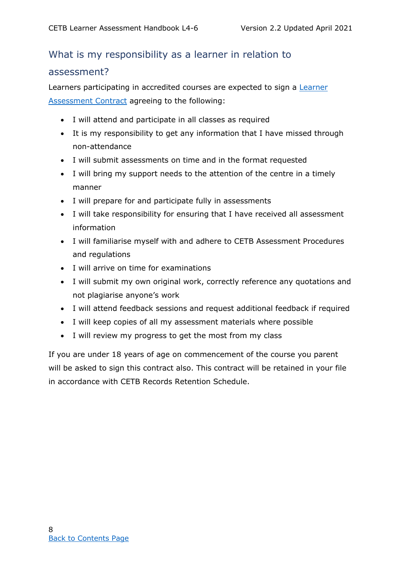## <span id="page-8-0"></span>What is my responsibility as a learner in relation to assessment?

Learners participating in accredited courses are expected to sign a **Learner** [Assessment Contract](#page-34-0) agreeing to the following:

- I will attend and participate in all classes as required
- It is my responsibility to get any information that I have missed through non-attendance
- I will submit assessments on time and in the format requested
- I will bring my support needs to the attention of the centre in a timely manner
- I will prepare for and participate fully in assessments
- I will take responsibility for ensuring that I have received all assessment information
- I will familiarise myself with and adhere to CETB Assessment Procedures and regulations
- I will arrive on time for examinations
- I will submit my own original work, correctly reference any quotations and not plagiarise anyone's work
- I will attend feedback sessions and request additional feedback if required
- I will keep copies of all my assessment materials where possible
- I will review my progress to get the most from my class

<span id="page-8-1"></span>If you are under 18 years of age on commencement of the course you parent will be asked to sign this contract also. This contract will be retained in your file in accordance with CETB Records Retention Schedule.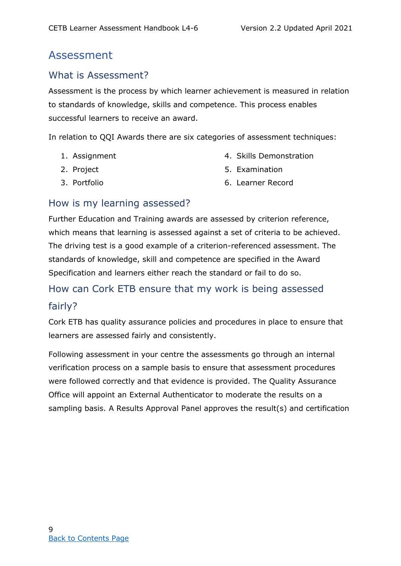## Assessment

#### <span id="page-9-0"></span>What is Assessment?

Assessment is the process by which learner achievement is measured in relation to standards of knowledge, skills and competence. This process enables successful learners to receive an award.

In relation to QQI Awards there are six categories of assessment techniques:

1. Assignment

4. Skills Demonstration

2. Project

5. Examination

3. Portfolio

6. Learner Record

#### <span id="page-9-1"></span>How is my learning assessed?

Further Education and Training awards are assessed by criterion reference, which means that learning is assessed against a set of criteria to be achieved. The driving test is a good example of a criterion-referenced assessment. The standards of knowledge, skill and competence are specified in the Award Specification and learners either reach the standard or fail to do so.

## <span id="page-9-2"></span>How can Cork ETB ensure that my work is being assessed fairly?

Cork ETB has quality assurance policies and procedures in place to ensure that learners are assessed fairly and consistently.

Following assessment in your centre the assessments go through an internal verification process on a sample basis to ensure that assessment procedures were followed correctly and that evidence is provided. The Quality Assurance Office will appoint an External Authenticator to moderate the results on a sampling basis. A Results Approval Panel approves the result(s) and certification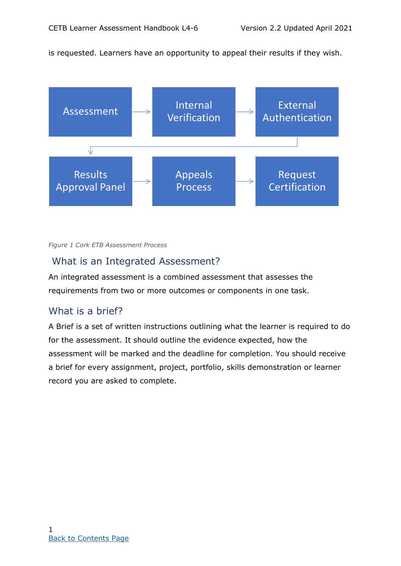is requested. Learners have an opportunity to appeal their results if they wish.



#### *Figure 1 Cork ETB Assessment Process*

#### <span id="page-10-0"></span>What is an Integrated Assessment?

An integrated assessment is a combined assessment that assesses the requirements from two or more outcomes or components in one task.

#### <span id="page-10-1"></span>What is a brief?

<span id="page-10-2"></span>A Brief is a set of written instructions outlining what the learner is required to do for the assessment. It should outline the evidence expected, how the assessment will be marked and the deadline for completion. You should receive a brief for every assignment, project, portfolio, skills demonstration or learner record you are asked to complete.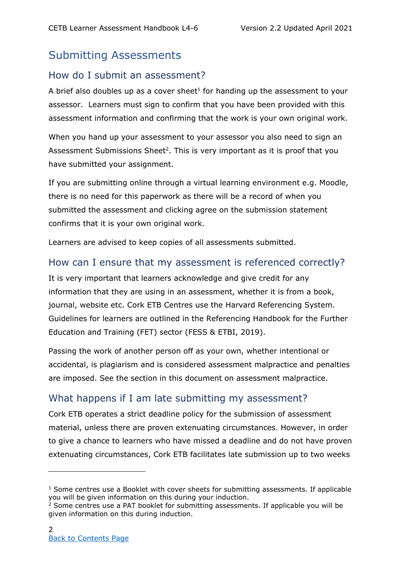## Submitting Assessments

#### <span id="page-11-0"></span>How do I submit an assessment?

A brief also doubles up as a cover sheet $1$  for handing up the assessment to your assessor. Learners must sign to confirm that you have been provided with this assessment information and confirming that the work is your own original work.

When you hand up your assessment to your assessor you also need to sign an Assessment Submissions Sheet<sup>2</sup>. This is very important as it is proof that you have submitted your assignment.

If you are submitting online through a virtual learning environment e.g. Moodle, there is no need for this paperwork as there will be a record of when you submitted the assessment and clicking agree on the submission statement confirms that it is your own original work.

Learners are advised to keep copies of all assessments submitted.

#### <span id="page-11-1"></span>How can I ensure that my assessment is referenced correctly?

It is very important that learners acknowledge and give credit for any information that they are using in an assessment, whether it is from a book, journal, website etc. Cork ETB Centres use the Harvard Referencing System. Guidelines for learners are outlined in the Referencing Handbook for the Further Education and Training (FET) sector (FESS & ETBI, 2019).

Passing the work of another person off as your own, whether intentional or accidental, is plagiarism and is considered assessment malpractice and penalties are imposed. See the section in this document on assessment malpractice.

#### <span id="page-11-2"></span>What happens if I am late submitting my assessment?

Cork ETB operates a strict deadline policy for the submission of assessment material, unless there are proven extenuating circumstances. However, in order to give a chance to learners who have missed a deadline and do not have proven extenuating circumstances, Cork ETB facilitates late submission up to two weeks

 $1$  Some centres use a Booklet with cover sheets for submitting assessments. If applicable you will be given information on this during your induction.

 $2$  Some centres use a PAT booklet for submitting assessments. If applicable you will be given information on this during induction.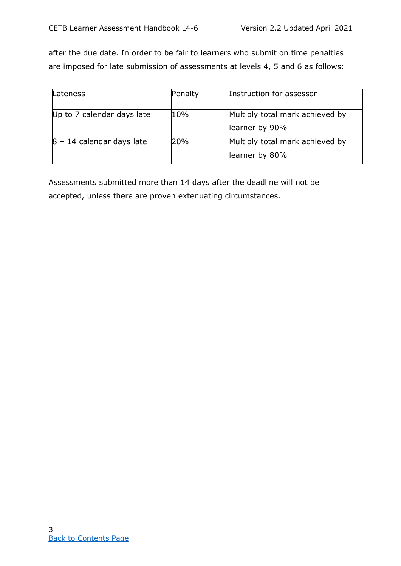after the due date. In order to be fair to learners who submit on time penalties are imposed for late submission of assessments at levels 4, 5 and 6 as follows:

| Lateness                     | Penalty | Instruction for assessor                          |
|------------------------------|---------|---------------------------------------------------|
| Up to 7 calendar days late   | 10%     | Multiply total mark achieved by<br>learner by 90% |
| $ 8 - 14$ calendar days late | 20%     | Multiply total mark achieved by<br>learner by 80% |

<span id="page-12-0"></span>Assessments submitted more than 14 days after the deadline will not be accepted, unless there are proven extenuating circumstances.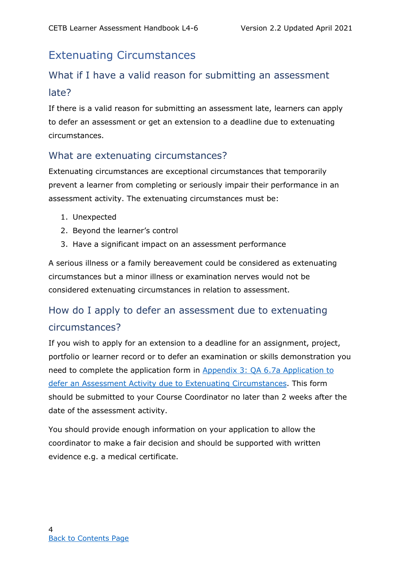## Extenuating Circumstances

## <span id="page-13-0"></span>What if I have a valid reason for submitting an assessment late?

If there is a valid reason for submitting an assessment late, learners can apply to defer an assessment or get an extension to a deadline due to extenuating circumstances.

#### <span id="page-13-1"></span>What are extenuating circumstances?

Extenuating circumstances are exceptional circumstances that temporarily prevent a learner from completing or seriously impair their performance in an assessment activity. The extenuating circumstances must be:

- 1. Unexpected
- 2. Beyond the learner's control
- 3. Have a significant impact on an assessment performance

A serious illness or a family bereavement could be considered as extenuating circumstances but a minor illness or examination nerves would not be considered extenuating circumstances in relation to assessment.

## <span id="page-13-2"></span>How do I apply to defer an assessment due to extenuating circumstances?

If you wish to apply for an extension to a deadline for an assignment, project, portfolio or learner record or to defer an examination or skills demonstration you need to complete the application form in [Appendix 3: QA 6.7a Application to](#page-37-0)  defer an [Assessment Activity due to Extenuating Circumstances.](#page-37-0) This form should be submitted to your Course Coordinator no later than 2 weeks after the date of the assessment activity.

You should provide enough information on your application to allow the coordinator to make a fair decision and should be supported with written evidence e.g. a medical certificate.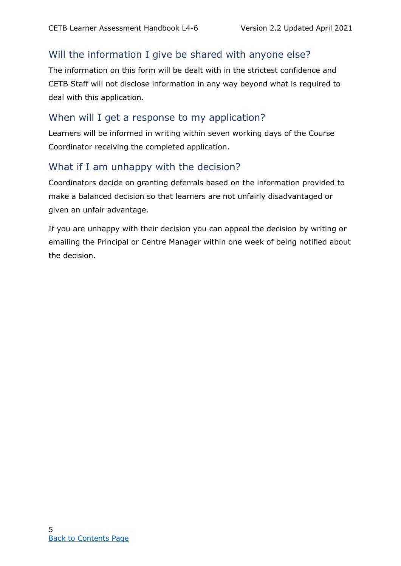#### <span id="page-14-0"></span>Will the information I give be shared with anyone else?

The information on this form will be dealt with in the strictest confidence and CETB Staff will not disclose information in any way beyond what is required to deal with this application.

#### <span id="page-14-1"></span>When will I get a response to my application?

Learners will be informed in writing within seven working days of the Course Coordinator receiving the completed application.

#### <span id="page-14-2"></span>What if I am unhappy with the decision?

Coordinators decide on granting deferrals based on the information provided to make a balanced decision so that learners are not unfairly disadvantaged or given an unfair advantage.

<span id="page-14-3"></span>If you are unhappy with their decision you can appeal the decision by writing or emailing the Principal or Centre Manager within one week of being notified about the decision.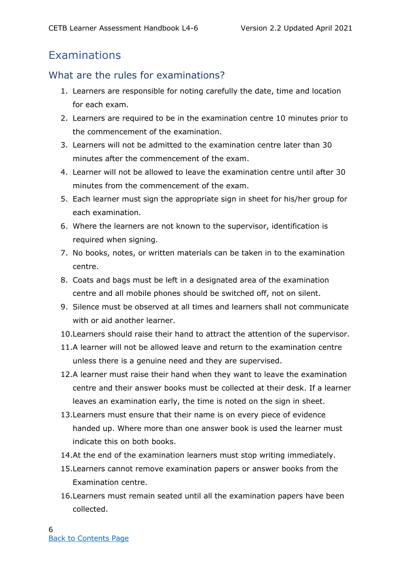## Examinations

#### <span id="page-15-0"></span>What are the rules for examinations?

- 1. Learners are responsible for noting carefully the date, time and location for each exam.
- 2. Learners are required to be in the examination centre 10 minutes prior to the commencement of the examination.
- 3. Learners will not be admitted to the examination centre later than 30 minutes after the commencement of the exam.
- 4. Learner will not be allowed to leave the examination centre until after 30 minutes from the commencement of the exam.
- 5. Each learner must sign the appropriate sign in sheet for his/her group for each examination.
- 6. Where the learners are not known to the supervisor, identification is required when signing.
- 7. No books, notes, or written materials can be taken in to the examination centre.
- 8. Coats and bags must be left in a designated area of the examination centre and all mobile phones should be switched off, not on silent.
- 9. Silence must be observed at all times and learners shall not communicate with or aid another learner.
- 10.Learners should raise their hand to attract the attention of the supervisor.
- 11.A learner will not be allowed leave and return to the examination centre unless there is a genuine need and they are supervised.
- 12.A learner must raise their hand when they want to leave the examination centre and their answer books must be collected at their desk. If a learner leaves an examination early, the time is noted on the sign in sheet.
- 13.Learners must ensure that their name is on every piece of evidence handed up. Where more than one answer book is used the learner must indicate this on both books.
- 14.At the end of the examination learners must stop writing immediately.
- 15.Learners cannot remove examination papers or answer books from the Examination centre.
- 16.Learners must remain seated until all the examination papers have been collected.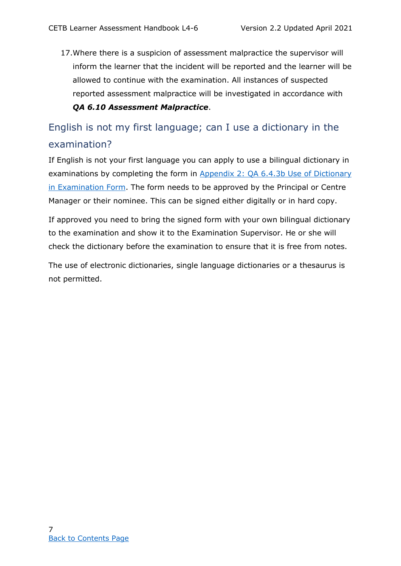17.Where there is a suspicion of assessment malpractice the supervisor will inform the learner that the incident will be reported and the learner will be allowed to continue with the examination. All instances of suspected reported assessment malpractice will be investigated in accordance with *QA 6.10 Assessment Malpractice*.

## <span id="page-16-0"></span>English is not my first language; can I use a dictionary in the examination?

If English is not your first language you can apply to use a bilingual dictionary in examinations by completing the form in [Appendix 2: QA 6.4.3b Use of Dictionary](#page-36-0)  [in Examination Form.](#page-36-0) The form needs to be approved by the Principal or Centre Manager or their nominee. This can be signed either digitally or in hard copy.

If approved you need to bring the signed form with your own bilingual dictionary to the examination and show it to the Examination Supervisor. He or she will check the dictionary before the examination to ensure that it is free from notes.

<span id="page-16-1"></span>The use of electronic dictionaries, single language dictionaries or a thesaurus is not permitted.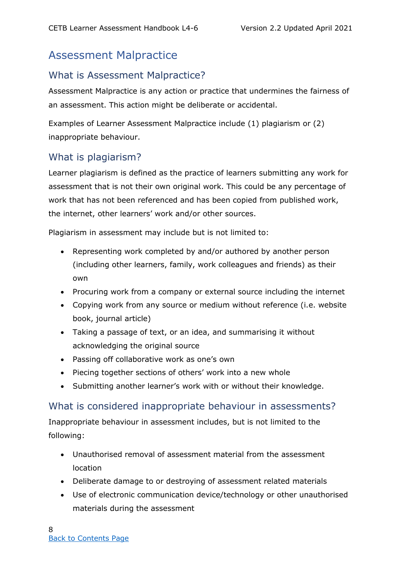## Assessment Malpractice

#### <span id="page-17-0"></span>What is Assessment Malpractice?

Assessment Malpractice is any action or practice that undermines the fairness of an assessment. This action might be deliberate or accidental.

Examples of Learner Assessment Malpractice include (1) plagiarism or (2) inappropriate behaviour.

#### <span id="page-17-1"></span>What is plagiarism?

Learner plagiarism is defined as the practice of learners submitting any work for assessment that is not their own original work. This could be any percentage of work that has not been referenced and has been copied from published work, the internet, other learners' work and/or other sources.

Plagiarism in assessment may include but is not limited to:

- Representing work completed by and/or authored by another person (including other learners, family, work colleagues and friends) as their own
- Procuring work from a company or external source including the internet
- Copying work from any source or medium without reference (i.e. website book, journal article)
- Taking a passage of text, or an idea, and summarising it without acknowledging the original source
- Passing off collaborative work as one's own
- Piecing together sections of others' work into a new whole
- Submitting another learner's work with or without their knowledge.

#### <span id="page-17-2"></span>What is considered inappropriate behaviour in assessments?

Inappropriate behaviour in assessment includes, but is not limited to the following:

- Unauthorised removal of assessment material from the assessment location
- Deliberate damage to or destroying of assessment related materials
- Use of electronic communication device/technology or other unauthorised materials during the assessment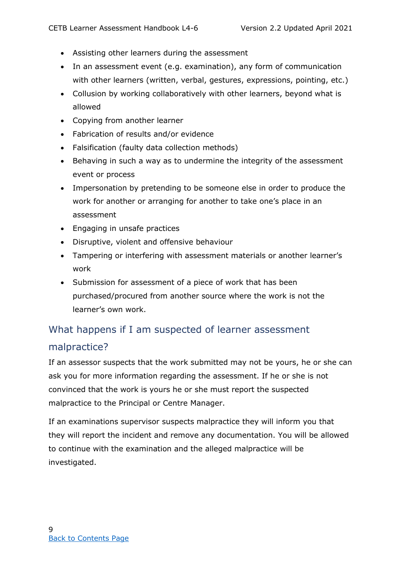- Assisting other learners during the assessment
- In an assessment event (e.g. examination), any form of communication with other learners (written, verbal, gestures, expressions, pointing, etc.)
- Collusion by working collaboratively with other learners, beyond what is allowed
- Copying from another learner
- Fabrication of results and/or evidence
- Falsification (faulty data collection methods)
- Behaving in such a way as to undermine the integrity of the assessment event or process
- Impersonation by pretending to be someone else in order to produce the work for another or arranging for another to take one's place in an assessment
- Engaging in unsafe practices
- Disruptive, violent and offensive behaviour
- Tampering or interfering with assessment materials or another learner's work
- Submission for assessment of a piece of work that has been purchased/procured from another source where the work is not the learner's own work.

## <span id="page-18-0"></span>What happens if I am suspected of learner assessment malpractice?

If an assessor suspects that the work submitted may not be yours, he or she can ask you for more information regarding the assessment. If he or she is not convinced that the work is yours he or she must report the suspected malpractice to the Principal or Centre Manager.

If an examinations supervisor suspects malpractice they will inform you that they will report the incident and remove any documentation. You will be allowed to continue with the examination and the alleged malpractice will be investigated.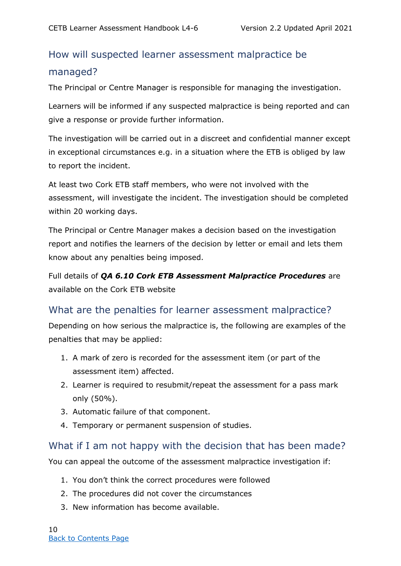## <span id="page-19-0"></span>How will suspected learner assessment malpractice be managed?

The Principal or Centre Manager is responsible for managing the investigation.

Learners will be informed if any suspected malpractice is being reported and can give a response or provide further information.

The investigation will be carried out in a discreet and confidential manner except in exceptional circumstances e.g. in a situation where the ETB is obliged by law to report the incident.

At least two Cork ETB staff members, who were not involved with the assessment, will investigate the incident. The investigation should be completed within 20 working days.

The Principal or Centre Manager makes a decision based on the investigation report and notifies the learners of the decision by letter or email and lets them know about any penalties being imposed.

Full details of *QA 6.10 Cork ETB Assessment Malpractice Procedures* are available on the Cork ETB website

#### <span id="page-19-1"></span>What are the penalties for learner assessment malpractice?

Depending on how serious the malpractice is, the following are examples of the penalties that may be applied:

- 1. A mark of zero is recorded for the assessment item (or part of the assessment item) affected.
- 2. Learner is required to resubmit/repeat the assessment for a pass mark only (50%).
- 3. Automatic failure of that component.
- 4. Temporary or permanent suspension of studies.

#### <span id="page-19-2"></span>What if I am not happy with the decision that has been made?

You can appeal the outcome of the assessment malpractice investigation if:

- 1. You don't think the correct procedures were followed
- 2. The procedures did not cover the circumstances
- 3. New information has become available.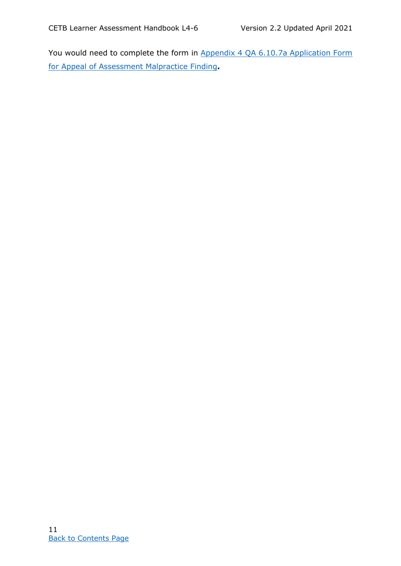<span id="page-20-0"></span>You would need to complete the form in Appendix 4 QA 6.10.7a Application Form [for Appeal of Assessment Malpractice Finding](#page-37-1)**.**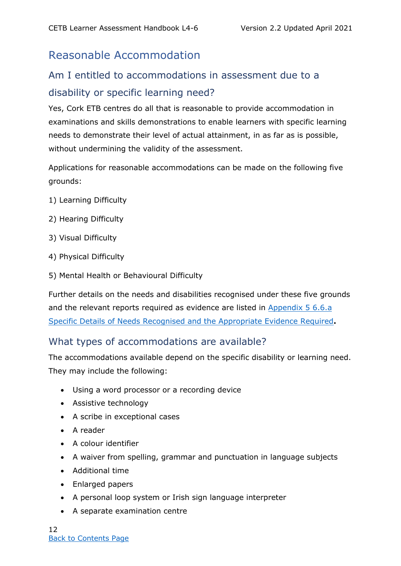## Reasonable Accommodation

## <span id="page-21-0"></span>Am I entitled to accommodations in assessment due to a disability or specific learning need?

Yes, Cork ETB centres do all that is reasonable to provide accommodation in examinations and skills demonstrations to enable learners with specific learning needs to demonstrate their level of actual attainment, in as far as is possible, without undermining the validity of the assessment.

Applications for reasonable accommodations can be made on the following five grounds:

- 1) Learning Difficulty
- 2) Hearing Difficulty
- 3) Visual Difficulty
- 4) Physical Difficulty
- 5) Mental Health or Behavioural Difficulty

Further details on the needs and disabilities recognised under these five grounds and the relevant reports required as evidence are listed in [Appendix 5](#page-38-0) 6.6.a [Specific Details of Needs Recognised and the Appropriate Evidence Required](#page-38-0)**.**

#### <span id="page-21-1"></span>What types of accommodations are available?

The accommodations available depend on the specific disability or learning need. They may include the following:

- Using a word processor or a recording device
- Assistive technology
- A scribe in exceptional cases
- A reader
- A colour identifier
- A waiver from spelling, grammar and punctuation in language subjects
- Additional time
- Enlarged papers
- A personal loop system or Irish sign language interpreter
- A separate examination centre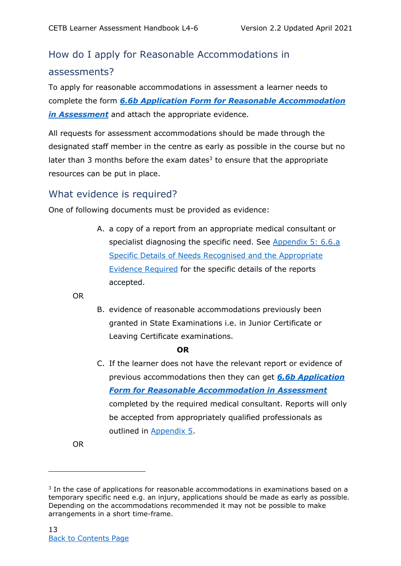## <span id="page-22-0"></span>How do I apply for Reasonable Accommodations in assessments?

To apply for reasonable accommodations in assessment a learner needs to complete the form *6.6b Application Form for Reasonable Accommodation in Assessment* and attach the appropriate evidence.

All requests for assessment accommodations should be made through the designated staff member in the centre as early as possible in the course but no later than 3 months before the exam dates<sup>3</sup> to ensure that the appropriate resources can be put in place.

#### <span id="page-22-1"></span>What evidence is required?

One of following documents must be provided as evidence:

A. a copy of a report from an appropriate medical consultant or specialist diagnosing the specific need. See [Appendix 5:](#page-38-0) 6.6.a [Specific Details of Needs Recognised and the Appropriate](#page-38-0)  [Evidence Required](#page-38-0) for the specific details of the reports accepted.

OR

B. evidence of reasonable accommodations previously been granted in State Examinations i.e. in Junior Certificate or Leaving Certificate examinations.

#### **OR**

C. If the learner does not have the relevant report or evidence of previous accommodations then they can get *[6.6b Application](#page-43-0)  [Form for Reasonable Accommodation in Assessment](#page-43-0)* completed by the required medical consultant. Reports will only be accepted from appropriately qualified professionals as outlined in [Appendix 5](#page-38-0).

OR

<sup>&</sup>lt;sup>3</sup> In the case of applications for reasonable accommodations in examinations based on a temporary specific need e.g. an injury, applications should be made as early as possible. Depending on the accommodations recommended it may not be possible to make arrangements in a short time-frame.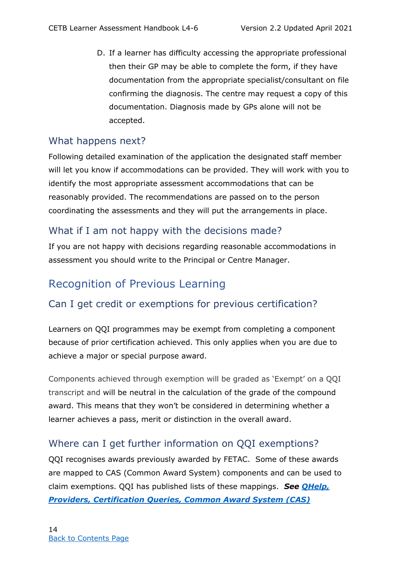D. If a learner has difficulty accessing the appropriate professional then their GP may be able to complete the form, if they have documentation from the appropriate specialist/consultant on file confirming the diagnosis. The centre may request a copy of this documentation. Diagnosis made by GPs alone will not be accepted.

#### <span id="page-23-0"></span>What happens next?

Following detailed examination of the application the designated staff member will let you know if accommodations can be provided. They will work with you to identify the most appropriate assessment accommodations that can be reasonably provided. The recommendations are passed on to the person coordinating the assessments and they will put the arrangements in place.

#### <span id="page-23-1"></span>What if I am not happy with the decisions made?

If you are not happy with decisions regarding reasonable accommodations in assessment you should write to the Principal or Centre Manager.

## <span id="page-23-2"></span>Recognition of Previous Learning

#### <span id="page-23-3"></span>Can I get credit or exemptions for previous certification?

Learners on QQI programmes may be exempt from completing a component because of prior certification achieved. This only applies when you are due to achieve a major or special purpose award.

Components achieved through exemption will be graded as 'Exempt' on a QQI transcript and will be neutral in the calculation of the grade of the compound award. This means that they won't be considered in determining whether a learner achieves a pass, merit or distinction in the overall award.

#### <span id="page-23-4"></span>Where can I get further information on QQI exemptions?

QQI recognises awards previously awarded by FETAC. Some of these awards are mapped to CAS (Common Award System) components and can be used to claim exemptions. QQI has published lists of these mappings. *See [QHelp,](https://qhelp.qqi.ie/providers/certification-queries/common-award-system-cas-exemptions/)  [Providers, Certification Queries, Common Award System \(CAS\)](https://qhelp.qqi.ie/providers/certification-queries/common-award-system-cas-exemptions/)*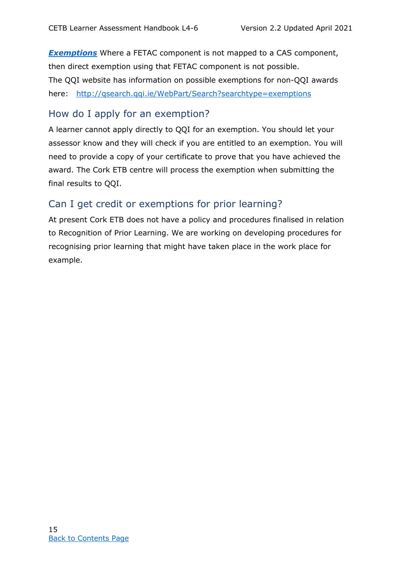**[Exemptions](https://qhelp.qqi.ie/providers/certification-queries/common-award-system-cas-exemptions/)** Where a FETAC component is not mapped to a CAS component, then direct exemption using that FETAC component is not possible. The QQI website has information on possible exemptions for non-QQI awards here: <http://qsearch.qqi.ie/WebPart/Search?searchtype=exemptions>

#### <span id="page-24-0"></span>How do I apply for an exemption?

A learner cannot apply directly to QQI for an exemption. You should let your assessor know and they will check if you are entitled to an exemption. You will need to provide a copy of your certificate to prove that you have achieved the award. The Cork ETB centre will process the exemption when submitting the final results to QQI.

#### <span id="page-24-1"></span>Can I get credit or exemptions for prior learning?

<span id="page-24-2"></span>At present Cork ETB does not have a policy and procedures finalised in relation to Recognition of Prior Learning. We are working on developing procedures for recognising prior learning that might have taken place in the work place for example.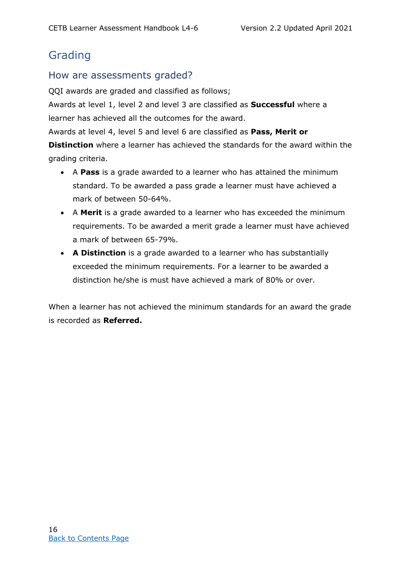## Grading

#### <span id="page-25-0"></span>How are assessments graded?

QQI awards are graded and classified as follows;

Awards at level 1, level 2 and level 3 are classified as **Successful** where a learner has achieved all the outcomes for the award.

Awards at level 4, level 5 and level 6 are classified as **Pass, Merit or** 

**Distinction** where a learner has achieved the standards for the award within the grading criteria.

- A **Pass** is a grade awarded to a learner who has attained the minimum standard. To be awarded a pass grade a learner must have achieved a mark of between 50-64%.
- A **Merit** is a grade awarded to a learner who has exceeded the minimum requirements. To be awarded a merit grade a learner must have achieved a mark of between 65-79%.
- **A Distinction** is a grade awarded to a learner who has substantially exceeded the minimum requirements. For a learner to be awarded a distinction he/she is must have achieved a mark of 80% or over.

<span id="page-25-1"></span>When a learner has not achieved the minimum standards for an award the grade is recorded as **Referred.**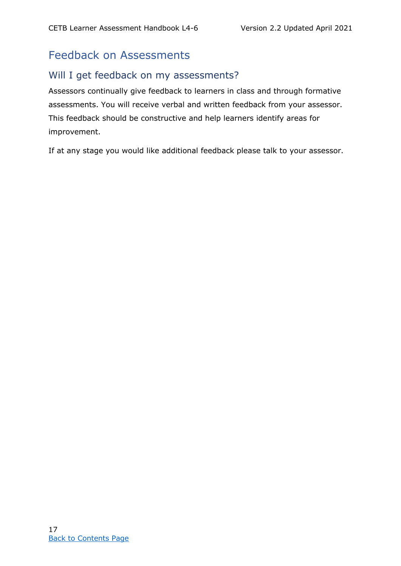## Feedback on Assessments

#### <span id="page-26-0"></span>Will I get feedback on my assessments?

Assessors continually give feedback to learners in class and through formative assessments. You will receive verbal and written feedback from your assessor. This feedback should be constructive and help learners identify areas for improvement.

<span id="page-26-1"></span>If at any stage you would like additional feedback please talk to your assessor.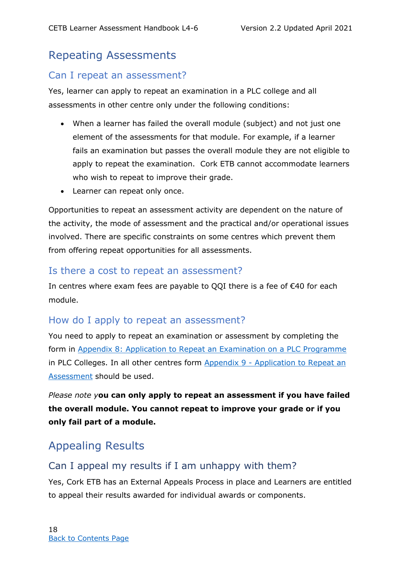## Repeating Assessments

#### <span id="page-27-0"></span>Can I repeat an assessment?

Yes, learner can apply to repeat an examination in a PLC college and all assessments in other centre only under the following conditions:

- When a learner has failed the overall module (subject) and not just one element of the assessments for that module. For example, if a learner fails an examination but passes the overall module they are not eligible to apply to repeat the examination. Cork ETB cannot accommodate learners who wish to repeat to improve their grade.
- Learner can repeat only once.

Opportunities to repeat an assessment activity are dependent on the nature of the activity, the mode of assessment and the practical and/or operational issues involved. There are specific constraints on some centres which prevent them from offering repeat opportunities for all assessments.

#### <span id="page-27-1"></span>Is there a cost to repeat an assessment?

In centres where exam fees are payable to QQI there is a fee of €40 for each module.

#### <span id="page-27-2"></span>How do I apply to repeat an assessment?

You need to apply to repeat an examination or assessment by completing the form in Appendix 8: [Application to Repeat an Examination on a PLC Programme](#page-48-0) in PLC Colleges. In all other centres form Appendix 9 - [Application to Repeat an](#page-50-0)  [Assessment](#page-50-0) should be used.

*Please note y***ou can only apply to repeat an assessment if you have failed the overall module. You cannot repeat to improve your grade or if you only fail part of a module.** 

## <span id="page-27-3"></span>Appealing Results

#### <span id="page-27-4"></span>Can I appeal my results if I am unhappy with them?

Yes, Cork ETB has an External Appeals Process in place and Learners are entitled to appeal their results awarded for individual awards or components.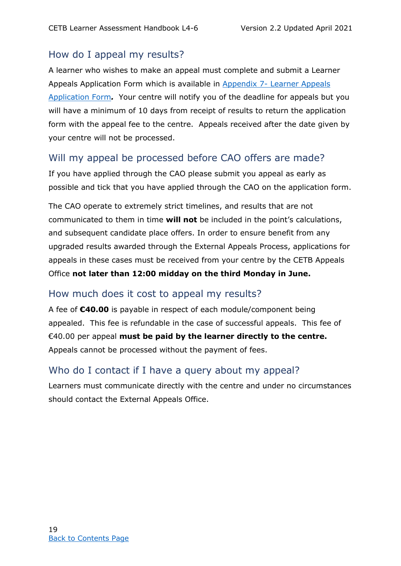#### <span id="page-28-0"></span>How do I appeal my results?

A learner who wishes to make an appeal must complete and submit a Learner Appeals Application Form which is available in Appendix 7- [Learner Appeals](#page-47-0)  [Application Form](#page-47-0)*.* Your centre will notify you of the deadline for appeals but you will have a minimum of 10 days from receipt of results to return the application form with the appeal fee to the centre. Appeals received after the date given by your centre will not be processed.

#### <span id="page-28-1"></span>Will my appeal be processed before CAO offers are made?

If you have applied through the CAO please submit you appeal as early as possible and tick that you have applied through the CAO on the application form.

The CAO operate to extremely strict timelines, and results that are not communicated to them in time **will not** be included in the point's calculations, and subsequent candidate place offers. In order to ensure benefit from any upgraded results awarded through the External Appeals Process, applications for appeals in these cases must be received from your centre by the CETB Appeals Office **not later than 12:00 midday on the third Monday in June.**

#### <span id="page-28-2"></span>How much does it cost to appeal my results?

A fee of **€40.00** is payable in respect of each module/component being appealed. This fee is refundable in the case of successful appeals. This fee of €40.00 per appeal **must be paid by the learner directly to the centre.**  Appeals cannot be processed without the payment of fees.

#### <span id="page-28-3"></span>Who do I contact if I have a query about my appeal?

Learners must communicate directly with the centre and under no circumstances should contact the External Appeals Office.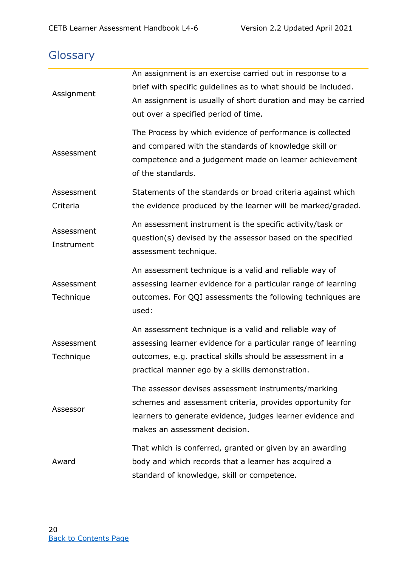## <span id="page-29-0"></span>**Glossary**

| Assignment               | An assignment is an exercise carried out in response to a<br>brief with specific quidelines as to what should be included.<br>An assignment is usually of short duration and may be carried<br>out over a specified period of time.     |
|--------------------------|-----------------------------------------------------------------------------------------------------------------------------------------------------------------------------------------------------------------------------------------|
| Assessment               | The Process by which evidence of performance is collected<br>and compared with the standards of knowledge skill or<br>competence and a judgement made on learner achievement<br>of the standards.                                       |
| Assessment<br>Criteria   | Statements of the standards or broad criteria against which<br>the evidence produced by the learner will be marked/graded.                                                                                                              |
| Assessment<br>Instrument | An assessment instrument is the specific activity/task or<br>question(s) devised by the assessor based on the specified<br>assessment technique.                                                                                        |
| Assessment<br>Technique  | An assessment technique is a valid and reliable way of<br>assessing learner evidence for a particular range of learning<br>outcomes. For QQI assessments the following techniques are<br>used:                                          |
| Assessment<br>Technique  | An assessment technique is a valid and reliable way of<br>assessing learner evidence for a particular range of learning<br>outcomes, e.g. practical skills should be assessment in a<br>practical manner ego by a skills demonstration. |
| Assessor                 | The assessor devises assessment instruments/marking<br>schemes and assessment criteria, provides opportunity for<br>learners to generate evidence, judges learner evidence and<br>makes an assessment decision.                         |
| Award                    | That which is conferred, granted or given by an awarding<br>body and which records that a learner has acquired a<br>standard of knowledge, skill or competence.                                                                         |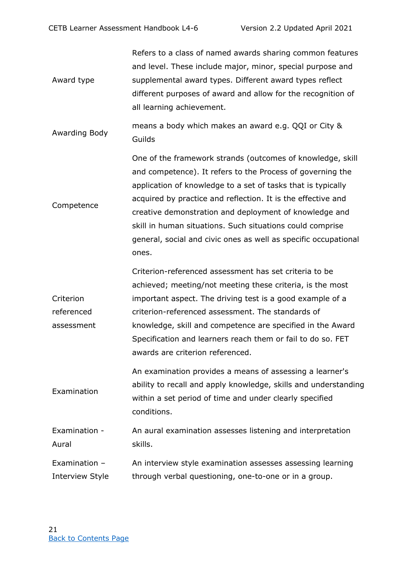Award type Refers to a class of named awards sharing common features and level. These include major, minor, special purpose and supplemental award types. Different award types reflect different purposes of award and allow for the recognition of all learning achievement.

Awarding Body means a body which makes an award e.g. QQI or City & Guilds

**Competence** One of the framework strands (outcomes of knowledge, skill and competence). It refers to the Process of governing the application of knowledge to a set of tasks that is typically acquired by practice and reflection. It is the effective and creative demonstration and deployment of knowledge and skill in human situations. Such situations could comprise general, social and civic ones as well as specific occupational ones.

**Criterion** referenced assessment Criterion-referenced assessment has set criteria to be achieved; meeting/not meeting these criteria, is the most important aspect. The driving test is a good example of a criterion-referenced assessment. The standards of knowledge, skill and competence are specified in the Award Specification and learners reach them or fail to do so. FET awards are criterion referenced.

Examination An examination provides a means of assessing a learner's ability to recall and apply knowledge, skills and understanding within a set period of time and under clearly specified conditions.

Examination - Aural An aural examination assesses listening and interpretation skills.

Examination – Interview Style An interview style examination assesses assessing learning through verbal questioning, one-to-one or in a group.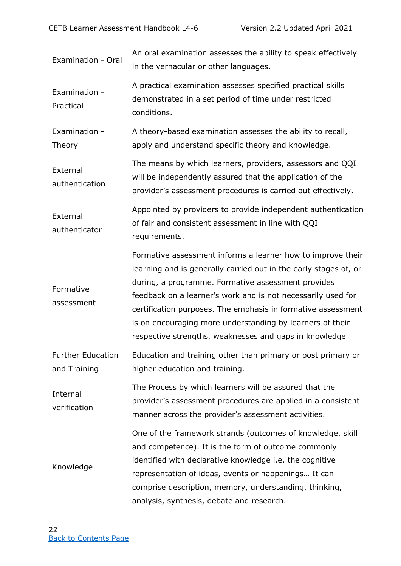| Examination - Oral                       | An oral examination assesses the ability to speak effectively<br>in the vernacular or other languages.                                                                                                                                                                                                                                                                                                                                       |
|------------------------------------------|----------------------------------------------------------------------------------------------------------------------------------------------------------------------------------------------------------------------------------------------------------------------------------------------------------------------------------------------------------------------------------------------------------------------------------------------|
| Examination -<br>Practical               | A practical examination assesses specified practical skills<br>demonstrated in a set period of time under restricted<br>conditions.                                                                                                                                                                                                                                                                                                          |
| Examination -<br>Theory                  | A theory-based examination assesses the ability to recall,<br>apply and understand specific theory and knowledge.                                                                                                                                                                                                                                                                                                                            |
| External<br>authentication               | The means by which learners, providers, assessors and QQI<br>will be independently assured that the application of the<br>provider's assessment procedures is carried out effectively.                                                                                                                                                                                                                                                       |
| External<br>authenticator                | Appointed by providers to provide independent authentication<br>of fair and consistent assessment in line with QQI<br>requirements.                                                                                                                                                                                                                                                                                                          |
| Formative<br>assessment                  | Formative assessment informs a learner how to improve their<br>learning and is generally carried out in the early stages of, or<br>during, a programme. Formative assessment provides<br>feedback on a learner's work and is not necessarily used for<br>certification purposes. The emphasis in formative assessment<br>is on encouraging more understanding by learners of their<br>respective strengths, weaknesses and gaps in knowledge |
| <b>Further Education</b><br>and Training | Education and training other than primary or post primary or<br>higher education and training.                                                                                                                                                                                                                                                                                                                                               |
| Internal<br>verification                 | The Process by which learners will be assured that the<br>provider's assessment procedures are applied in a consistent<br>manner across the provider's assessment activities.                                                                                                                                                                                                                                                                |
| Knowledge                                | One of the framework strands (outcomes of knowledge, skill<br>and competence). It is the form of outcome commonly<br>identified with declarative knowledge i.e. the cognitive<br>representation of ideas, events or happenings It can<br>comprise description, memory, understanding, thinking,<br>analysis, synthesis, debate and research.                                                                                                 |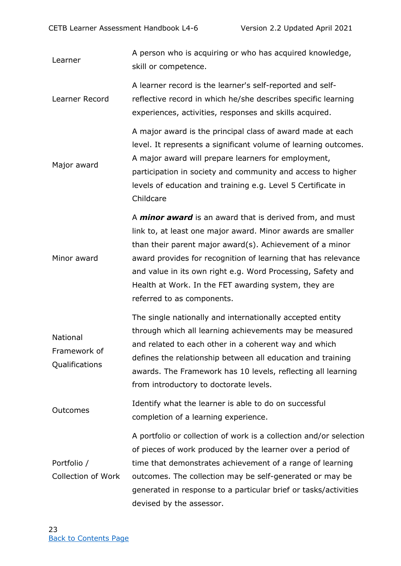Learner A person who is acquiring or who has acquired knowledge, skill or competence.

Learner Record A learner record is the learner's self-reported and selfreflective record in which he/she describes specific learning experiences, activities, responses and skills acquired.

Major award A major award is the principal class of award made at each level. It represents a significant volume of learning outcomes. A major award will prepare learners for employment, participation in society and community and access to higher levels of education and training e.g. Level 5 Certificate in Childcare

Minor award A *minor award* is an award that is derived from, and must link to, at least one major award. Minor awards are smaller than their parent major award(s). Achievement of a minor award provides for recognition of learning that has relevance and value in its own right e.g. Word Processing, Safety and Health at Work. In the FET awarding system, they are referred to as components.

National Framework of Qualifications The single nationally and internationally accepted entity through which all learning achievements may be measured and related to each other in a coherent way and which defines the relationship between all education and training awards. The Framework has 10 levels, reflecting all learning from introductory to doctorate levels.

Outcomes Identify what the learner is able to do on successful completion of a learning experience.

Portfolio / Collection of Work A portfolio or collection of work is a collection and/or selection of pieces of work produced by the learner over a period of time that demonstrates achievement of a range of learning outcomes. The collection may be self-generated or may be generated in response to a particular brief or tasks/activities devised by the assessor.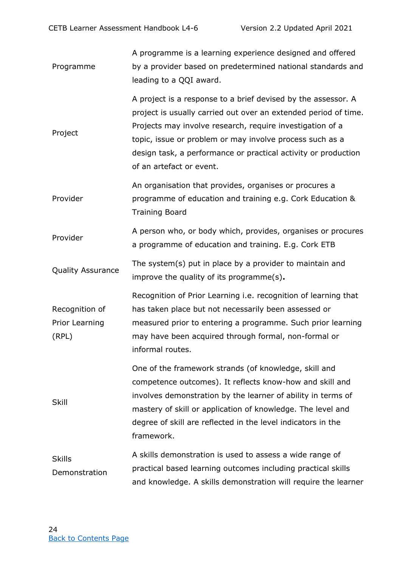| Programme                                 | A programme is a learning experience designed and offered<br>by a provider based on predetermined national standards and<br>leading to a QQI award.                                                                                                                                                                                                     |
|-------------------------------------------|---------------------------------------------------------------------------------------------------------------------------------------------------------------------------------------------------------------------------------------------------------------------------------------------------------------------------------------------------------|
| Project                                   | A project is a response to a brief devised by the assessor. A<br>project is usually carried out over an extended period of time.<br>Projects may involve research, require investigation of a<br>topic, issue or problem or may involve process such as a<br>design task, a performance or practical activity or production<br>of an artefact or event. |
| Provider                                  | An organisation that provides, organises or procures a<br>programme of education and training e.g. Cork Education &<br><b>Training Board</b>                                                                                                                                                                                                            |
| Provider                                  | A person who, or body which, provides, organises or procures<br>a programme of education and training. E.g. Cork ETB                                                                                                                                                                                                                                    |
| <b>Quality Assurance</b>                  | The system(s) put in place by a provider to maintain and<br>improve the quality of its programme(s).                                                                                                                                                                                                                                                    |
| Recognition of<br>Prior Learning<br>(RPL) | Recognition of Prior Learning i.e. recognition of learning that<br>has taken place but not necessarily been assessed or<br>measured prior to entering a programme. Such prior learning<br>may have been acquired through formal, non-formal or<br>informal routes.                                                                                      |
| Skill                                     | One of the framework strands (of knowledge, skill and<br>competence outcomes). It reflects know-how and skill and<br>involves demonstration by the learner of ability in terms of<br>mastery of skill or application of knowledge. The level and<br>degree of skill are reflected in the level indicators in the<br>framework.                          |
| <b>Skills</b><br>Demonstration            | A skills demonstration is used to assess a wide range of<br>practical based learning outcomes including practical skills<br>and knowledge. A skills demonstration will require the learner                                                                                                                                                              |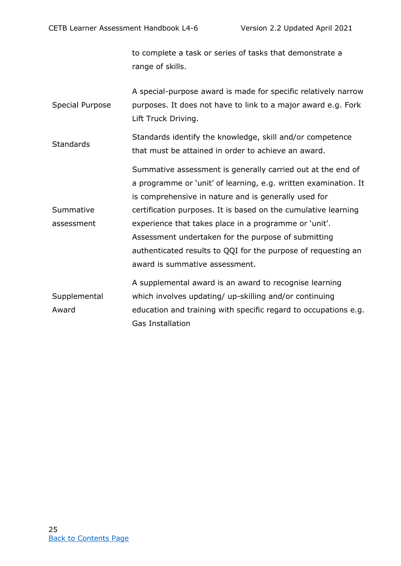to complete a task or series of tasks that demonstrate a range of skills.

|                 | A special-purpose award is made for specific relatively narrow |
|-----------------|----------------------------------------------------------------|
| Special Purpose | purposes. It does not have to link to a major award e.g. Fork  |
|                 | Lift Truck Driving.                                            |

**Standards** Standards identify the knowledge, skill and/or competence that must be attained in order to achieve an award.

Summative assessment Summative assessment is generally carried out at the end of a programme or 'unit' of learning, e.g. written examination. It is comprehensive in nature and is generally used for certification purposes. It is based on the cumulative learning experience that takes place in a programme or 'unit'. Assessment undertaken for the purpose of submitting authenticated results to QQI for the purpose of requesting an award is summative assessment.

<span id="page-34-0"></span>**Supplemental** Award A supplemental award is an award to recognise learning which involves updating/ up-skilling and/or continuing education and training with specific regard to occupations e.g. Gas Installation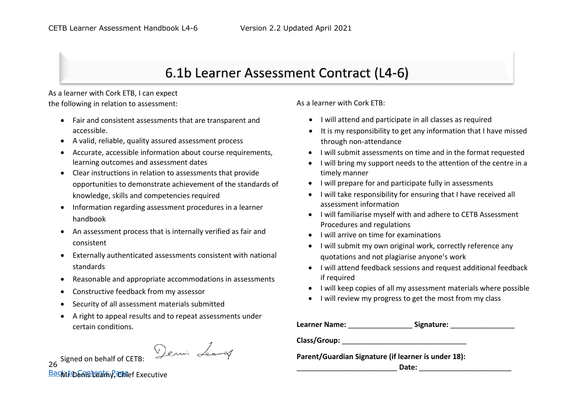## 6.1b Learner Assessment Contract (L4-6)

As a learner with Cork ETB, I can expect the following in relation to assessment:

- Fair and consistent assessments that are transparent and accessible.
- A valid, reliable, quality assured assessment process
- Accurate, accessible information about course requirements, learning outcomes and assessment dates
- Clear instructions in relation to assessments that provide opportunities to demonstrate achievement of the standards of knowledge, skills and competencies required
- Information regarding assessment procedures in a learner handbook
- An assessment process that is internally verified as fair and consistent
- $\bullet$  Externally authenticated assessments consistent with national standards
- $\bullet$ Reasonable and appropriate accommodations in assessments
- $\bullet$ Constructive feedback from my assessor
- Security of all assessment materials submitted
- A right to appeal results and to repeat assessments under certain conditions.

26 Signed on behalf of CETB: <u>Back to eการโลยสาร y Chief</u> Executive As a learner with Cork ETB:

- I will attend and participate in all classes as required
- It is my responsibility to get any information that I have missed through non-attendance
- I will submit assessments on time and in the format requested
- I will bring my support needs to the attention of the centre in a timely manner
- I will prepare for and participate fully in assessments
- I will take responsibility for ensuring that I have received all assessment information
- I will familiarise myself with and adhere to CETB Assessment Procedures and regulations
- I will arrive on time for examinations
- I will submit my own original work, correctly reference any quotations and not plagiarise anyone's work
- I will attend feedback sessions and request additional feedback if required
- I will keep copies of all my assessment materials where possible
- I will review my progress to get the most from my class

| Learner Name: | Signature: |  |
|---------------|------------|--|
|---------------|------------|--|

Class/Group:

**Parent/Guardian Signature (if learner is under 18):** 

\_\_\_\_\_\_\_\_\_\_\_\_\_\_\_\_\_\_\_\_\_\_\_\_\_ **Date:** \_\_\_\_\_\_\_\_\_\_\_\_\_\_\_\_\_\_\_\_\_\_\_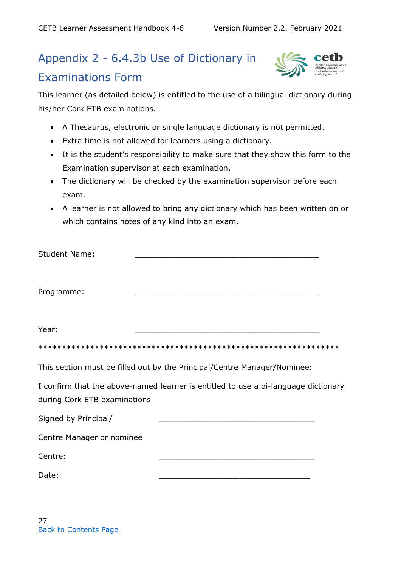## Appendix 2 - 6.4.3b Use of Dictionary in

#### <span id="page-36-0"></span>Examinations Form



This learner (as detailed below) is entitled to the use of a bilingual dictionary during his/her Cork ETB examinations.

- A Thesaurus, electronic or single language dictionary is not permitted.
- Extra time is not allowed for learners using a dictionary.
- It is the student's responsibility to make sure that they show this form to the Examination supervisor at each examination.
- The dictionary will be checked by the examination supervisor before each exam.
- A learner is not allowed to bring any dictionary which has been written on or which contains notes of any kind into an exam.

| This section must be filled out by the Principal/Centre Manager/Nominee:                                           |
|--------------------------------------------------------------------------------------------------------------------|
| I confirm that the above-named learner is entitled to use a bi-language dictionary<br>during Cork ETB examinations |
|                                                                                                                    |
| Centre Manager or nominee                                                                                          |
|                                                                                                                    |
|                                                                                                                    |
|                                                                                                                    |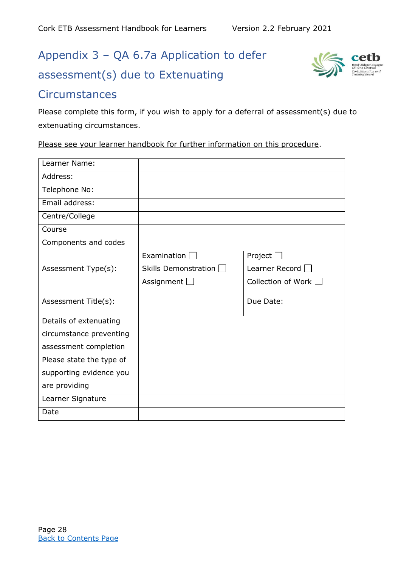## Appendix 3 – QA 6.7a Application to defer assessment(s) due to Extenuating



#### <span id="page-37-0"></span>**Circumstances**

Please complete this form, if you wish to apply for a deferral of assessment(s) due to extenuating circumstances.

Please see your learner handbook for further information on this procedure.

<span id="page-37-1"></span>

| Learner Name:            |                             |                       |
|--------------------------|-----------------------------|-----------------------|
| Address:                 |                             |                       |
| Telephone No:            |                             |                       |
| Email address:           |                             |                       |
| Centre/College           |                             |                       |
| Course                   |                             |                       |
| Components and codes     |                             |                       |
|                          | Examination                 | Project               |
| Assessment Type(s):      | Skills Demonstration $\Box$ | Learner Record $\Box$ |
|                          | Assignment $\Box$           | Collection of Work    |
| Assessment Title(s):     |                             | Due Date:             |
| Details of extenuating   |                             |                       |
| circumstance preventing  |                             |                       |
| assessment completion    |                             |                       |
| Please state the type of |                             |                       |
| supporting evidence you  |                             |                       |
| are providing            |                             |                       |
| Learner Signature        |                             |                       |
| Date                     |                             |                       |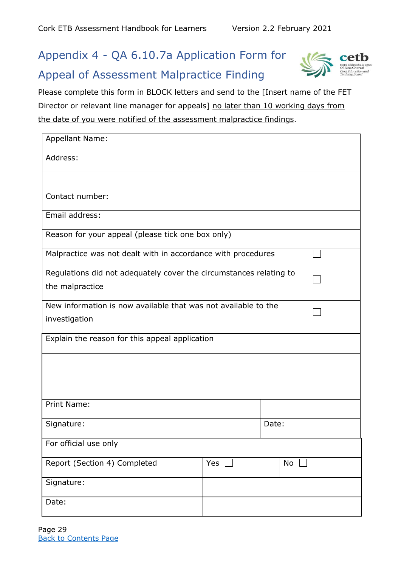## Appendix 4 - QA 6.10.7a Application Form for Appeal of Assessment Malpractice Finding



Please complete this form in BLOCK letters and send to the [Insert name of the FET Director or relevant line manager for appeals] no later than 10 working days from the date of you were notified of the assessment malpractice findings.

<span id="page-38-0"></span>

| <b>Appellant Name:</b>                                             |                                                |    |  |  |
|--------------------------------------------------------------------|------------------------------------------------|----|--|--|
| Address:                                                           |                                                |    |  |  |
|                                                                    |                                                |    |  |  |
| Contact number:                                                    |                                                |    |  |  |
| Email address:                                                     |                                                |    |  |  |
| Reason for your appeal (please tick one box only)                  |                                                |    |  |  |
| Malpractice was not dealt with in accordance with procedures       |                                                |    |  |  |
| Regulations did not adequately cover the circumstances relating to |                                                |    |  |  |
| the malpractice                                                    |                                                |    |  |  |
| New information is now available that was not available to the     |                                                |    |  |  |
| investigation                                                      |                                                |    |  |  |
|                                                                    | Explain the reason for this appeal application |    |  |  |
|                                                                    |                                                |    |  |  |
|                                                                    |                                                |    |  |  |
| Print Name:                                                        |                                                |    |  |  |
|                                                                    |                                                |    |  |  |
| Date:<br>Signature:                                                |                                                |    |  |  |
| For official use only                                              |                                                |    |  |  |
| Report (Section 4) Completed                                       | Yes                                            | No |  |  |
| Signature:                                                         |                                                |    |  |  |
| Date:                                                              |                                                |    |  |  |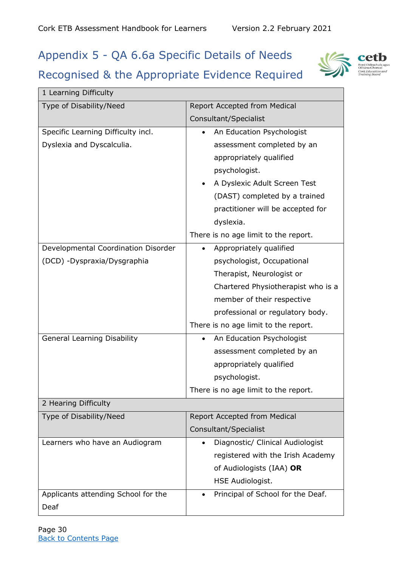## <span id="page-39-0"></span>Appendix 5 - QA 6.6a Specific Details of Needs

## Recognised & the Appropriate Evidence Required



| 1 Learning Difficulty               |                                        |  |  |  |
|-------------------------------------|----------------------------------------|--|--|--|
| Type of Disability/Need             | Report Accepted from Medical           |  |  |  |
|                                     | Consultant/Specialist                  |  |  |  |
| Specific Learning Difficulty incl.  | An Education Psychologist              |  |  |  |
| Dyslexia and Dyscalculia.           | assessment completed by an             |  |  |  |
|                                     | appropriately qualified                |  |  |  |
|                                     | psychologist.                          |  |  |  |
|                                     | A Dyslexic Adult Screen Test           |  |  |  |
|                                     | (DAST) completed by a trained          |  |  |  |
|                                     | practitioner will be accepted for      |  |  |  |
|                                     | dyslexia.                              |  |  |  |
|                                     | There is no age limit to the report.   |  |  |  |
| Developmental Coordination Disorder | Appropriately qualified                |  |  |  |
| (DCD) - Dyspraxia/Dysgraphia        | psychologist, Occupational             |  |  |  |
|                                     | Therapist, Neurologist or              |  |  |  |
|                                     | Chartered Physiotherapist who is a     |  |  |  |
|                                     | member of their respective             |  |  |  |
|                                     | professional or regulatory body.       |  |  |  |
|                                     | There is no age limit to the report.   |  |  |  |
| <b>General Learning Disability</b>  | An Education Psychologist<br>$\bullet$ |  |  |  |
|                                     | assessment completed by an             |  |  |  |
|                                     | appropriately qualified                |  |  |  |
|                                     | psychologist.                          |  |  |  |
|                                     | There is no age limit to the report.   |  |  |  |
| 2 Hearing Difficulty                |                                        |  |  |  |
| Type of Disability/Need             | Report Accepted from Medical           |  |  |  |
|                                     | Consultant/Specialist                  |  |  |  |
| Learners who have an Audiogram      | Diagnostic/ Clinical Audiologist       |  |  |  |
|                                     | registered with the Irish Academy      |  |  |  |
|                                     | of Audiologists (IAA) OR               |  |  |  |
|                                     | HSE Audiologist.                       |  |  |  |
| Applicants attending School for the | Principal of School for the Deaf.      |  |  |  |
| Deaf                                |                                        |  |  |  |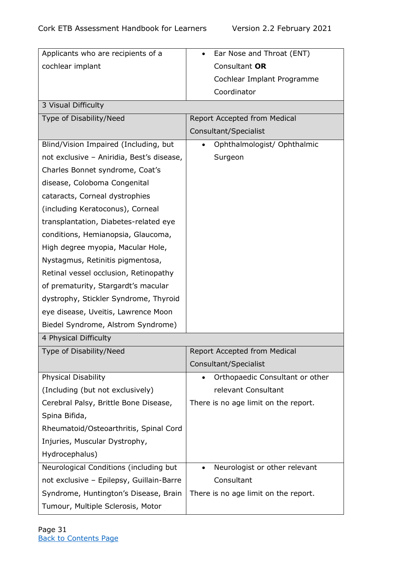| Applicants who are recipients of a        | Ear Nose and Throat (ENT)<br>$\bullet$     |  |  |  |  |
|-------------------------------------------|--------------------------------------------|--|--|--|--|
| cochlear implant                          | Consultant OR                              |  |  |  |  |
|                                           | Cochlear Implant Programme                 |  |  |  |  |
|                                           | Coordinator                                |  |  |  |  |
| 3 Visual Difficulty                       |                                            |  |  |  |  |
| Type of Disability/Need                   | Report Accepted from Medical               |  |  |  |  |
|                                           | Consultant/Specialist                      |  |  |  |  |
| Blind/Vision Impaired (Including, but     | Ophthalmologist/ Ophthalmic<br>$\bullet$   |  |  |  |  |
| not exclusive - Aniridia, Best's disease, | Surgeon                                    |  |  |  |  |
| Charles Bonnet syndrome, Coat's           |                                            |  |  |  |  |
| disease, Coloboma Congenital              |                                            |  |  |  |  |
| cataracts, Corneal dystrophies            |                                            |  |  |  |  |
| (including Keratoconus), Corneal          |                                            |  |  |  |  |
| transplantation, Diabetes-related eye     |                                            |  |  |  |  |
| conditions, Hemianopsia, Glaucoma,        |                                            |  |  |  |  |
| High degree myopia, Macular Hole,         |                                            |  |  |  |  |
| Nystagmus, Retinitis pigmentosa,          |                                            |  |  |  |  |
| Retinal vessel occlusion, Retinopathy     |                                            |  |  |  |  |
| of prematurity, Stargardt's macular       |                                            |  |  |  |  |
| dystrophy, Stickler Syndrome, Thyroid     |                                            |  |  |  |  |
| eye disease, Uveitis, Lawrence Moon       |                                            |  |  |  |  |
| Biedel Syndrome, Alstrom Syndrome)        |                                            |  |  |  |  |
| 4 Physical Difficulty                     |                                            |  |  |  |  |
| Type of Disability/Need                   | Report Accepted from Medical               |  |  |  |  |
|                                           | Consultant/Specialist                      |  |  |  |  |
| <b>Physical Disability</b>                | Orthopaedic Consultant or other            |  |  |  |  |
| (Including (but not exclusively)          | relevant Consultant                        |  |  |  |  |
| Cerebral Palsy, Brittle Bone Disease,     | There is no age limit on the report.       |  |  |  |  |
| Spina Bifida,                             |                                            |  |  |  |  |
| Rheumatoid/Osteoarthritis, Spinal Cord    |                                            |  |  |  |  |
| Injuries, Muscular Dystrophy,             |                                            |  |  |  |  |
| Hydrocephalus)                            |                                            |  |  |  |  |
| Neurological Conditions (including but    | Neurologist or other relevant<br>$\bullet$ |  |  |  |  |
| not exclusive - Epilepsy, Guillain-Barre  | Consultant                                 |  |  |  |  |
| Syndrome, Huntington's Disease, Brain     | There is no age limit on the report.       |  |  |  |  |
| Tumour, Multiple Sclerosis, Motor         |                                            |  |  |  |  |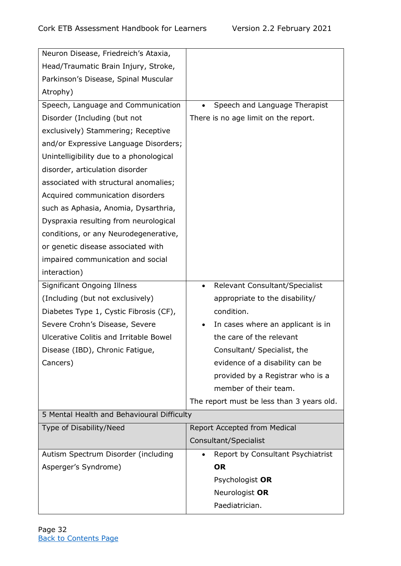| Neuron Disease, Friedreich's Ataxia,          |                                                |
|-----------------------------------------------|------------------------------------------------|
| Head/Traumatic Brain Injury, Stroke,          |                                                |
| Parkinson's Disease, Spinal Muscular          |                                                |
| Atrophy)                                      |                                                |
| Speech, Language and Communication            | Speech and Language Therapist                  |
| Disorder (Including (but not                  | There is no age limit on the report.           |
| exclusively) Stammering; Receptive            |                                                |
| and/or Expressive Language Disorders;         |                                                |
| Unintelligibility due to a phonological       |                                                |
| disorder, articulation disorder               |                                                |
| associated with structural anomalies;         |                                                |
| Acquired communication disorders              |                                                |
| such as Aphasia, Anomia, Dysarthria,          |                                                |
| Dyspraxia resulting from neurological         |                                                |
| conditions, or any Neurodegenerative,         |                                                |
| or genetic disease associated with            |                                                |
| impaired communication and social             |                                                |
| interaction)                                  |                                                |
| <b>Significant Ongoing Illness</b>            | Relevant Consultant/Specialist<br>$\bullet$    |
| (Including (but not exclusively)              | appropriate to the disability/                 |
| Diabetes Type 1, Cystic Fibrosis (CF),        | condition.                                     |
| Severe Crohn's Disease, Severe                | In cases where an applicant is in              |
| <b>Ulcerative Colitis and Irritable Bowel</b> | the care of the relevant                       |
| Disease (IBD), Chronic Fatigue,               | Consultant/ Specialist, the                    |
| Cancers)                                      | evidence of a disability can be                |
|                                               | provided by a Registrar who is a               |
|                                               | member of their team.                          |
|                                               | The report must be less than 3 years old.      |
| 5 Mental Health and Behavioural Difficulty    |                                                |
| Type of Disability/Need                       | Report Accepted from Medical                   |
|                                               | Consultant/Specialist                          |
| Autism Spectrum Disorder (including           | Report by Consultant Psychiatrist<br>$\bullet$ |
| Asperger's Syndrome)                          | <b>OR</b>                                      |
|                                               | Psychologist OR                                |
|                                               | Neurologist OR                                 |
|                                               | Paediatrician.                                 |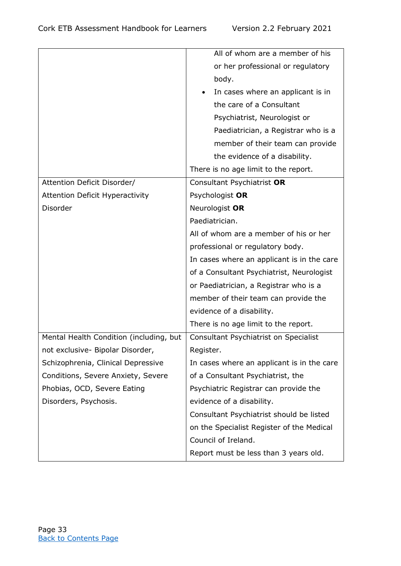|                                         | All of whom are a member of his            |
|-----------------------------------------|--------------------------------------------|
|                                         | or her professional or regulatory          |
|                                         | body.                                      |
|                                         | In cases where an applicant is in          |
|                                         | the care of a Consultant                   |
|                                         | Psychiatrist, Neurologist or               |
|                                         | Paediatrician, a Registrar who is a        |
|                                         | member of their team can provide           |
|                                         | the evidence of a disability.              |
|                                         | There is no age limit to the report.       |
| Attention Deficit Disorder/             | Consultant Psychiatrist OR                 |
| <b>Attention Deficit Hyperactivity</b>  | Psychologist OR                            |
| Disorder                                | Neurologist OR                             |
|                                         | Paediatrician.                             |
|                                         | All of whom are a member of his or her     |
|                                         | professional or regulatory body.           |
|                                         | In cases where an applicant is in the care |
|                                         | of a Consultant Psychiatrist, Neurologist  |
|                                         | or Paediatrician, a Registrar who is a     |
|                                         | member of their team can provide the       |
|                                         | evidence of a disability.                  |
|                                         | There is no age limit to the report.       |
| Mental Health Condition (including, but | Consultant Psychiatrist on Specialist      |
| not exclusive- Bipolar Disorder,        | Register.                                  |
| Schizophrenia, Clinical Depressive      | In cases where an applicant is in the care |
| Conditions, Severe Anxiety, Severe      | of a Consultant Psychiatrist, the          |
| Phobias, OCD, Severe Eating             | Psychiatric Registrar can provide the      |
| Disorders, Psychosis.                   | evidence of a disability.                  |
|                                         | Consultant Psychiatrist should be listed   |
|                                         | on the Specialist Register of the Medical  |
|                                         | Council of Ireland.                        |
|                                         | Report must be less than 3 years old.      |
|                                         |                                            |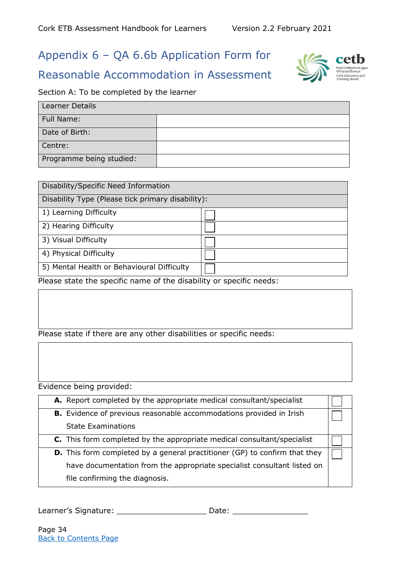## Appendix 6 – QA 6.6b Application Form for

#### <span id="page-43-0"></span>Reasonable Accommodation in Assessment

#### Section A: To be completed by the learner

| <b>Learner Details</b>   |  |
|--------------------------|--|
| Full Name:               |  |
| Date of Birth:           |  |
| Centre:                  |  |
| Programme being studied: |  |

| Disability/Specific Need Information              |  |  |  |
|---------------------------------------------------|--|--|--|
| Disability Type (Please tick primary disability): |  |  |  |
| 1) Learning Difficulty                            |  |  |  |
| 2) Hearing Difficulty                             |  |  |  |
| 3) Visual Difficulty                              |  |  |  |
| 4) Physical Difficulty                            |  |  |  |
| 5) Mental Health or Behavioural Difficulty        |  |  |  |

Please state the specific name of the disability or specific needs:

#### Please state if there are any other disabilities or specific needs:

Evidence being provided:

| A. Report completed by the appropriate medical consultant/specialist           |  |
|--------------------------------------------------------------------------------|--|
| <b>B.</b> Evidence of previous reasonable accommodations provided in Irish     |  |
| <b>State Examinations</b>                                                      |  |
| <b>C.</b> This form completed by the appropriate medical consultant/specialist |  |
| D. This form completed by a general practitioner (GP) to confirm that they     |  |
| have documentation from the appropriate specialist consultant listed on        |  |
| file confirming the diagnosis.                                                 |  |

Learner's Signature: \_\_\_\_\_\_\_\_\_\_\_\_\_\_\_\_\_\_\_\_\_\_\_\_\_\_\_\_\_\_Date: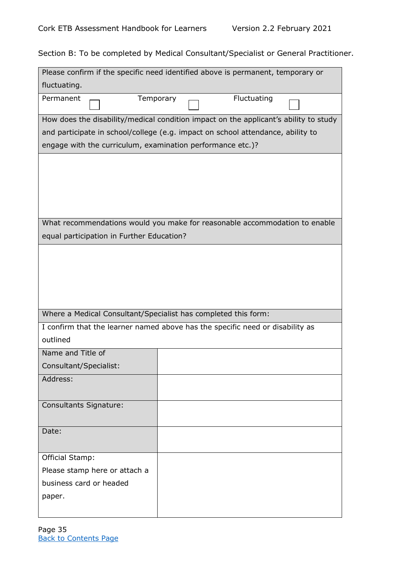Section B: To be completed by Medical Consultant/Specialist or General Practitioner.

| Please confirm if the specific need identified above is permanent, temporary or |                                                                                      |
|---------------------------------------------------------------------------------|--------------------------------------------------------------------------------------|
| fluctuating.                                                                    |                                                                                      |
| Permanent<br>Temporary                                                          | Fluctuating                                                                          |
|                                                                                 | How does the disability/medical condition impact on the applicant's ability to study |
| and participate in school/college (e.g. impact on school attendance, ability to |                                                                                      |
| engage with the curriculum, examination performance etc.)?                      |                                                                                      |
|                                                                                 |                                                                                      |
|                                                                                 |                                                                                      |
|                                                                                 |                                                                                      |
|                                                                                 |                                                                                      |
|                                                                                 |                                                                                      |
|                                                                                 | What recommendations would you make for reasonable accommodation to enable           |
| equal participation in Further Education?                                       |                                                                                      |
|                                                                                 |                                                                                      |
|                                                                                 |                                                                                      |
|                                                                                 |                                                                                      |
|                                                                                 |                                                                                      |
| Where a Medical Consultant/Specialist has completed this form:                  |                                                                                      |
| I confirm that the learner named above has the specific need or disability as   |                                                                                      |
| outlined                                                                        |                                                                                      |
| Name and Title of                                                               |                                                                                      |
| Consultant/Specialist:                                                          |                                                                                      |
| Address:                                                                        |                                                                                      |
|                                                                                 |                                                                                      |
| <b>Consultants Signature:</b>                                                   |                                                                                      |
|                                                                                 |                                                                                      |
| Date:                                                                           |                                                                                      |
|                                                                                 |                                                                                      |
| <b>Official Stamp:</b>                                                          |                                                                                      |
| Please stamp here or attach a                                                   |                                                                                      |
| business card or headed                                                         |                                                                                      |
| paper.                                                                          |                                                                                      |
|                                                                                 |                                                                                      |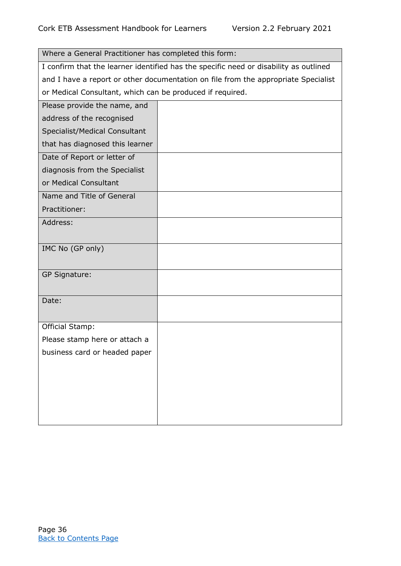| Where a General Practitioner has completed this form:     |                                                                                       |  |  |
|-----------------------------------------------------------|---------------------------------------------------------------------------------------|--|--|
|                                                           | I confirm that the learner identified has the specific need or disability as outlined |  |  |
|                                                           | and I have a report or other documentation on file from the appropriate Specialist    |  |  |
| or Medical Consultant, which can be produced if required. |                                                                                       |  |  |
| Please provide the name, and                              |                                                                                       |  |  |
| address of the recognised                                 |                                                                                       |  |  |
| Specialist/Medical Consultant                             |                                                                                       |  |  |
| that has diagnosed this learner                           |                                                                                       |  |  |
| Date of Report or letter of                               |                                                                                       |  |  |
| diagnosis from the Specialist                             |                                                                                       |  |  |
| or Medical Consultant                                     |                                                                                       |  |  |
| Name and Title of General                                 |                                                                                       |  |  |
| Practitioner:                                             |                                                                                       |  |  |
| Address:                                                  |                                                                                       |  |  |
|                                                           |                                                                                       |  |  |
| IMC No (GP only)                                          |                                                                                       |  |  |
|                                                           |                                                                                       |  |  |
| <b>GP Signature:</b>                                      |                                                                                       |  |  |
|                                                           |                                                                                       |  |  |
| Date:                                                     |                                                                                       |  |  |
|                                                           |                                                                                       |  |  |
| Official Stamp:                                           |                                                                                       |  |  |
| Please stamp here or attach a                             |                                                                                       |  |  |
| business card or headed paper                             |                                                                                       |  |  |
|                                                           |                                                                                       |  |  |
|                                                           |                                                                                       |  |  |
|                                                           |                                                                                       |  |  |
|                                                           |                                                                                       |  |  |
|                                                           |                                                                                       |  |  |
|                                                           |                                                                                       |  |  |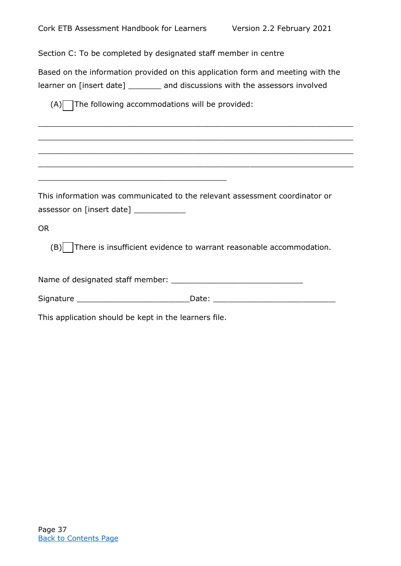Section C: To be completed by designated staff member in centre

Based on the information provided on this application form and meeting with the learner on [insert date] \_\_\_\_\_\_\_ and discussions with the assessors involved

 $\_$  , and the set of the set of the set of the set of the set of the set of the set of the set of the set of the set of the set of the set of the set of the set of the set of the set of the set of the set of the set of th

 $\_$  , and the set of the set of the set of the set of the set of the set of the set of the set of the set of the set of the set of the set of the set of the set of the set of the set of the set of the set of the set of th

 $\_$  ,  $\_$  ,  $\_$  ,  $\_$  ,  $\_$  ,  $\_$  ,  $\_$  ,  $\_$  ,  $\_$  ,  $\_$  ,  $\_$  ,  $\_$  ,  $\_$  ,  $\_$  ,  $\_$  ,  $\_$  ,  $\_$  ,  $\_$  ,  $\_$  ,  $\_$  ,  $\_$  ,  $\_$  ,  $\_$  ,  $\_$  ,  $\_$  ,  $\_$  ,  $\_$  ,  $\_$  ,  $\_$  ,  $\_$  ,  $\_$  ,  $\_$  ,  $\_$  ,  $\_$  ,  $\_$  ,  $\_$  ,  $\_$  ,

 $\_$  , and the set of the set of the set of the set of the set of the set of the set of the set of the set of the set of the set of the set of the set of the set of the set of the set of the set of the set of the set of th

 $(A)$  The following accommodations will be provided:

This information was communicated to the relevant assessment coordinator or assessor on [insert date]

OR

 $(B)$  There is insufficient evidence to warrant reasonable accommodation.

Name of designated staff member: \_\_\_\_\_\_\_\_\_\_\_\_\_\_\_\_\_\_\_\_\_\_\_\_\_\_\_\_

Signature \_\_\_\_\_\_\_\_\_\_\_\_\_\_\_\_\_\_\_\_\_\_\_\_Date: \_\_\_\_\_\_\_\_\_\_\_\_\_\_\_\_\_\_\_\_\_\_\_\_\_\_

This application should be kept in the learners file.

\_\_\_\_\_\_\_\_\_\_\_\_\_\_\_\_\_\_\_\_\_\_\_\_\_\_\_\_\_\_\_\_\_\_\_\_\_\_\_\_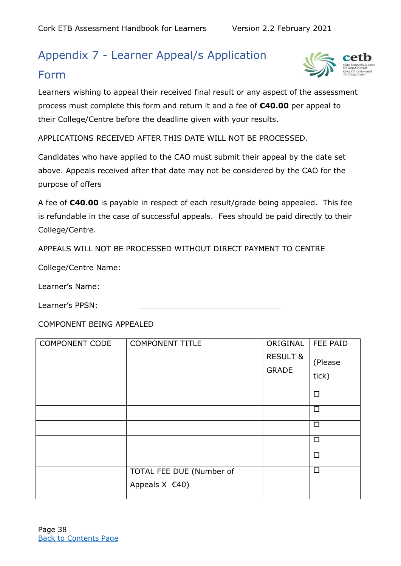## Appendix 7 - Learner Appeal/s Application

#### <span id="page-47-0"></span>Form



Learners wishing to appeal their received final result or any aspect of the assessment process must complete this form and return it and a fee of **€40.00** per appeal to their College/Centre before the deadline given with your results.

APPLICATIONS RECEIVED AFTER THIS DATE WILL NOT BE PROCESSED.

Candidates who have applied to the CAO must submit their appeal by the date set above. Appeals received after that date may not be considered by the CAO for the purpose of offers

A fee of **€40.00** is payable in respect of each result/grade being appealed. This fee is refundable in the case of successful appeals. Fees should be paid directly to their College/Centre.

APPEALS WILL NOT BE PROCESSED WITHOUT DIRECT PAYMENT TO CENTRE

College/Centre Name:

Learner's Name:

Learner's PPSN:

COMPONENT BEING APPEALED

| <b>COMPONENT CODE</b> | <b>COMPONENT TITLE</b>                           | ORIGINAL<br><b>RESULT &amp;</b><br><b>GRADE</b> | FEE PAID<br>(Please<br>tick) |
|-----------------------|--------------------------------------------------|-------------------------------------------------|------------------------------|
|                       |                                                  |                                                 | $\Box$                       |
|                       |                                                  |                                                 | $\Box$                       |
|                       |                                                  |                                                 | $\Box$                       |
|                       |                                                  |                                                 | $\Box$                       |
|                       |                                                  |                                                 | $\Box$                       |
|                       | TOTAL FEE DUE (Number of<br>Appeals $X \in (40)$ |                                                 | $\Box$                       |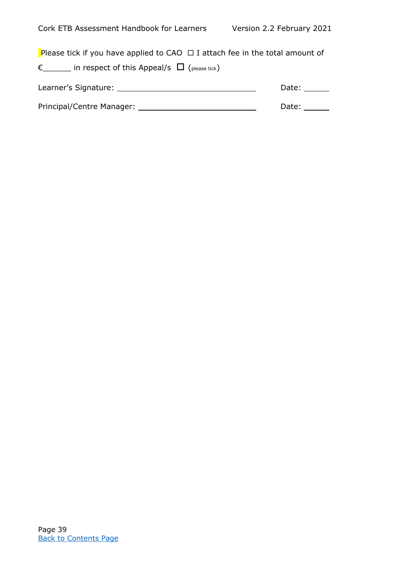Please tick if you have applied to CAO  $\Box$  I attach fee in the total amount of

 $\epsilon$  in respect of this Appeal/s  $\Box$  (please tick)

<span id="page-48-0"></span>

| Learner's Signature:      | Date: |
|---------------------------|-------|
|                           |       |
| Principal/Centre Manager: | Date: |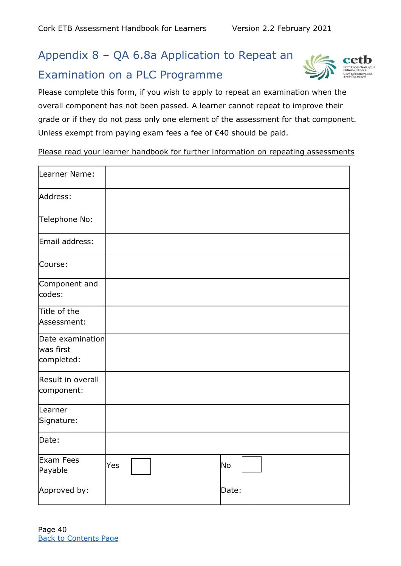## <span id="page-49-0"></span>Appendix 8 – QA 6.8a Application to Repeat an Examination on a PLC Programme



Please complete this form, if you wish to apply to repeat an examination when the overall component has not been passed. A learner cannot repeat to improve their grade or if they do not pass only one element of the assessment for that component. Unless exempt from paying exam fees a fee of €40 should be paid.

Please read your learner handbook for further information on repeating assessments

| Learner Name:                               |     |  |       |  |
|---------------------------------------------|-----|--|-------|--|
| Address:                                    |     |  |       |  |
| Telephone No:                               |     |  |       |  |
| Email address:                              |     |  |       |  |
| Course:                                     |     |  |       |  |
| Component and<br>codes:                     |     |  |       |  |
| Title of the<br>Assessment:                 |     |  |       |  |
| Date examination<br>was first<br>completed: |     |  |       |  |
| Result in overall<br>component:             |     |  |       |  |
| Learner<br>Signature:                       |     |  |       |  |
| Date:                                       |     |  |       |  |
| Exam Fees<br>Payable                        | Yes |  | No    |  |
| Approved by:                                |     |  | Date: |  |